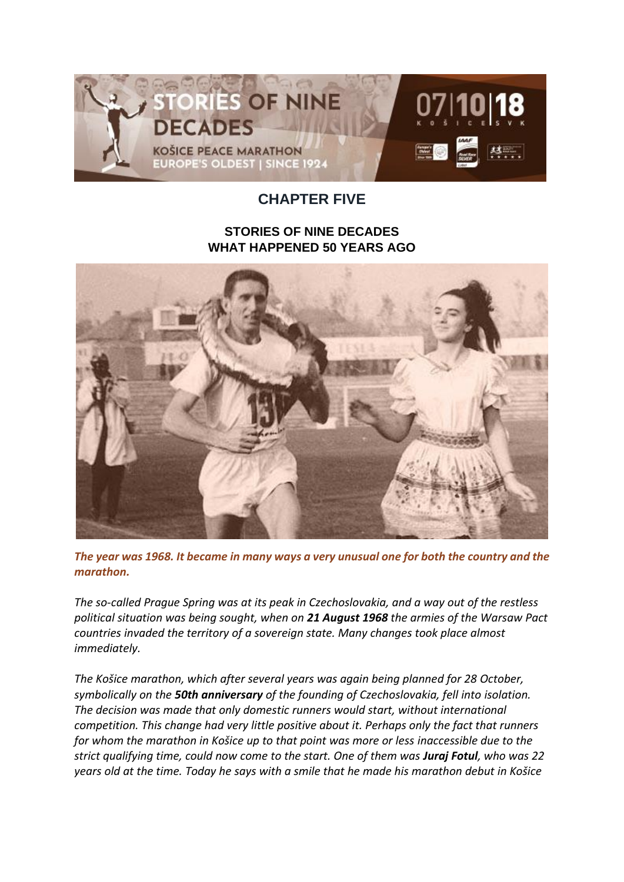

## **CHAPTER FIVE**

## **STORIES OF NINE DECADES WHAT HAPPENED 50 YEARS AGO**



*The year was 1968. It became in many ways a very unusual one for both the country and the marathon.*

*The so-called Prague Spring was at its peak in Czechoslovakia, and a way out of the restless political situation was being sought, when on 21 August 1968 the armies of the Warsaw Pact countries invaded the territory of a sovereign state. Many changes took place almost immediately.*

*The Košice marathon, which after several years was again being planned for 28 October, symbolically on the 50th anniversary of the founding of Czechoslovakia, fell into isolation. The decision was made that only domestic runners would start, without international competition. This change had very little positive about it. Perhaps only the fact that runners for whom the marathon in Košice up to that point was more or less inaccessible due to the strict qualifying time, could now come to the start. One of them was Juraj Fotul, who was 22 years old at the time. Today he says with a smile that he made his marathon debut in Košice*